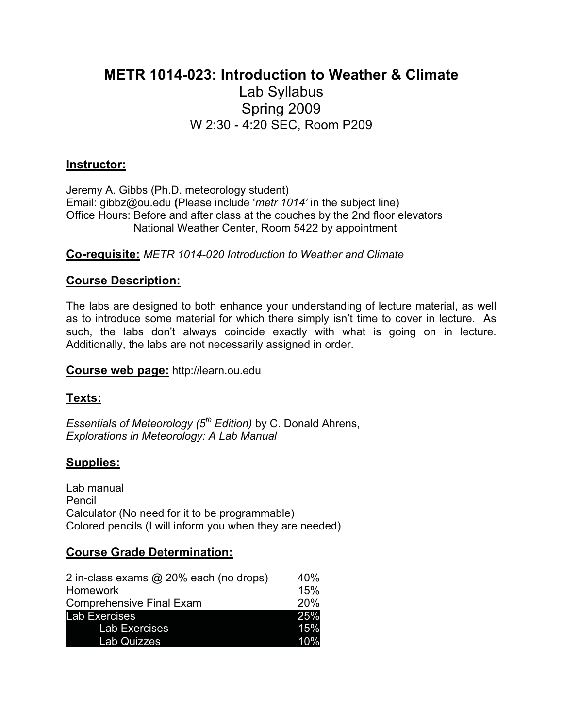# **METR 1014-023: Introduction to Weather & Climate**

# Lab Syllabus Spring 2009 W 2:30 - 4:20 SEC, Room P209

#### **Instructor:**

Jeremy A. Gibbs (Ph.D. meteorology student) Email: gibbz@ou.edu **(**Please include '*metr 1014'* in the subject line) Office Hours: Before and after class at the couches by the 2nd floor elevators National Weather Center, Room 5422 by appointment

**Co-requisite:** *METR 1014-020 Introduction to Weather and Climate*

### **Course Description:**

The labs are designed to both enhance your understanding of lecture material, as well as to introduce some material for which there simply isn't time to cover in lecture. As such, the labs don't always coincide exactly with what is going on in lecture. Additionally, the labs are not necessarily assigned in order.

#### **Course web page:** http://learn.ou.edu

### **Texts:**

*Essentials of Meteorology (5th Edition)* by C. Donald Ahrens, *Explorations in Meteorology: A Lab Manual* 

### **Supplies:**

Lab manual Pencil Calculator (No need for it to be programmable) Colored pencils (I will inform you when they are needed)

### **Course Grade Determination:**

| 2 in-class exams @ 20% each (no drops) | 40% |
|----------------------------------------|-----|
| Homework                               | 15% |
| <b>Comprehensive Final Exam</b>        | 20% |
| <b>Lab Exercises</b>                   | 25% |
| <b>Lab Exercises</b>                   | 15% |
| <b>Lab Quizzes</b>                     | 10% |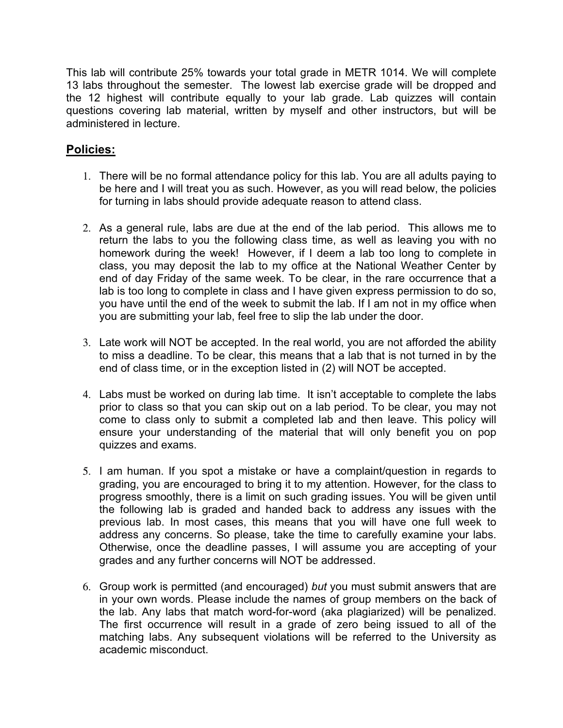This lab will contribute 25% towards your total grade in METR 1014. We will complete 13 labs throughout the semester. The lowest lab exercise grade will be dropped and the 12 highest will contribute equally to your lab grade. Lab quizzes will contain questions covering lab material, written by myself and other instructors, but will be administered in lecture.

## **Policies:**

- 1. There will be no formal attendance policy for this lab. You are all adults paying to be here and I will treat you as such. However, as you will read below, the policies for turning in labs should provide adequate reason to attend class.
- 2. As a general rule, labs are due at the end of the lab period. This allows me to return the labs to you the following class time, as well as leaving you with no homework during the week! However, if I deem a lab too long to complete in class, you may deposit the lab to my office at the National Weather Center by end of day Friday of the same week. To be clear, in the rare occurrence that a lab is too long to complete in class and I have given express permission to do so, you have until the end of the week to submit the lab. If I am not in my office when you are submitting your lab, feel free to slip the lab under the door.
- 3. Late work will NOT be accepted. In the real world, you are not afforded the ability to miss a deadline. To be clear, this means that a lab that is not turned in by the end of class time, or in the exception listed in (2) will NOT be accepted.
- 4. Labs must be worked on during lab time. It isn't acceptable to complete the labs prior to class so that you can skip out on a lab period. To be clear, you may not come to class only to submit a completed lab and then leave. This policy will ensure your understanding of the material that will only benefit you on pop quizzes and exams.
- 5. I am human. If you spot a mistake or have a complaint/question in regards to grading, you are encouraged to bring it to my attention. However, for the class to progress smoothly, there is a limit on such grading issues. You will be given until the following lab is graded and handed back to address any issues with the previous lab. In most cases, this means that you will have one full week to address any concerns. So please, take the time to carefully examine your labs. Otherwise, once the deadline passes, I will assume you are accepting of your grades and any further concerns will NOT be addressed.
- 6. Group work is permitted (and encouraged) *but* you must submit answers that are in your own words. Please include the names of group members on the back of the lab. Any labs that match word-for-word (aka plagiarized) will be penalized. The first occurrence will result in a grade of zero being issued to all of the matching labs. Any subsequent violations will be referred to the University as academic misconduct.